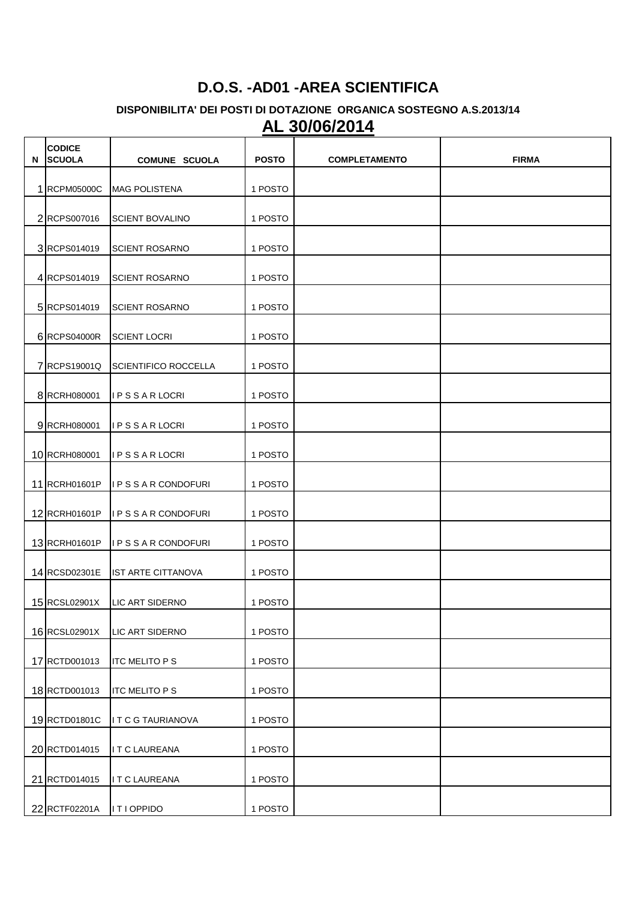## **D.O.S. -AD01 -AREA SCIENTIFICA**

## **DISPONIBILITA' DEI POSTI DI DOTAZIONE ORGANICA SOSTEGNO A.S.2013/14 AL 30/06/2014**

| N | <b>CODICE</b><br><b>SCUOLA</b> | <b>COMUNE SCUOLA</b>        | <b>POSTO</b> | <b>COMPLETAMENTO</b> | <b>FIRMA</b> |
|---|--------------------------------|-----------------------------|--------------|----------------------|--------------|
|   | 1 RCPM05000C                   | <b>MAG POLISTENA</b>        | 1 POSTO      |                      |              |
|   | 2 RCPS007016                   | <b>SCIENT BOVALINO</b>      | 1 POSTO      |                      |              |
|   | 3 RCPS014019                   | <b>SCIENT ROSARNO</b>       | 1 POSTO      |                      |              |
|   | 4 RCPS014019                   | <b>SCIENT ROSARNO</b>       | 1 POSTO      |                      |              |
|   | 5 RCPS014019                   | <b>SCIENT ROSARNO</b>       | 1 POSTO      |                      |              |
|   | 6 RCPS04000R                   | <b>SCIENT LOCRI</b>         | 1 POSTO      |                      |              |
|   | 7 RCPS19001Q                   | <b>SCIENTIFICO ROCCELLA</b> | 1 POSTO      |                      |              |
|   | 8 RCRH080001                   | <b>IPSSARLOCRI</b>          | 1 POSTO      |                      |              |
|   | 9 RCRH080001                   | <b>IPSSARLOCRI</b>          | 1 POSTO      |                      |              |
|   |                                |                             |              |                      |              |
|   | 10 RCRH080001                  | <b>IPSSARLOCRI</b>          | 1 POSTO      |                      |              |
|   | 11 RCRH01601P                  | IPSSARCONDOFURI             | 1 POSTO      |                      |              |
|   | 12 RCRH01601P                  | I P S S A R CONDOFURI       | 1 POSTO      |                      |              |
|   | 13 RCRH01601P                  | <b>IPSSARCONDOFURI</b>      | 1 POSTO      |                      |              |
|   | 14 RCSD02301E                  | <b>IST ARTE CITTANOVA</b>   | 1 POSTO      |                      |              |
|   | 15 RCSL02901X                  | LIC ART SIDERNO             | 1 POSTO      |                      |              |
|   | 16 RCSL02901X                  | <b>LIC ART SIDERNO</b>      | 1 POSTO      |                      |              |
|   | 17 RCTD001013                  | <b>ITC MELITO PS</b>        | 1 POSTO      |                      |              |
|   | 18 RCTD001013                  | <b>ITC MELITO PS</b>        | 1 POSTO      |                      |              |
|   | 19 RCTD01801C                  | I T C G TAURIANOVA          | 1 POSTO      |                      |              |
|   | 20 RCTD014015                  | ITCLAUREANA                 | 1 POSTO      |                      |              |
|   | 21 RCTD014015                  | ITCLAUREANA                 | 1 POSTO      |                      |              |
|   | 22 RCTF02201A                  | ITIOPPIDO                   | 1 POSTO      |                      |              |